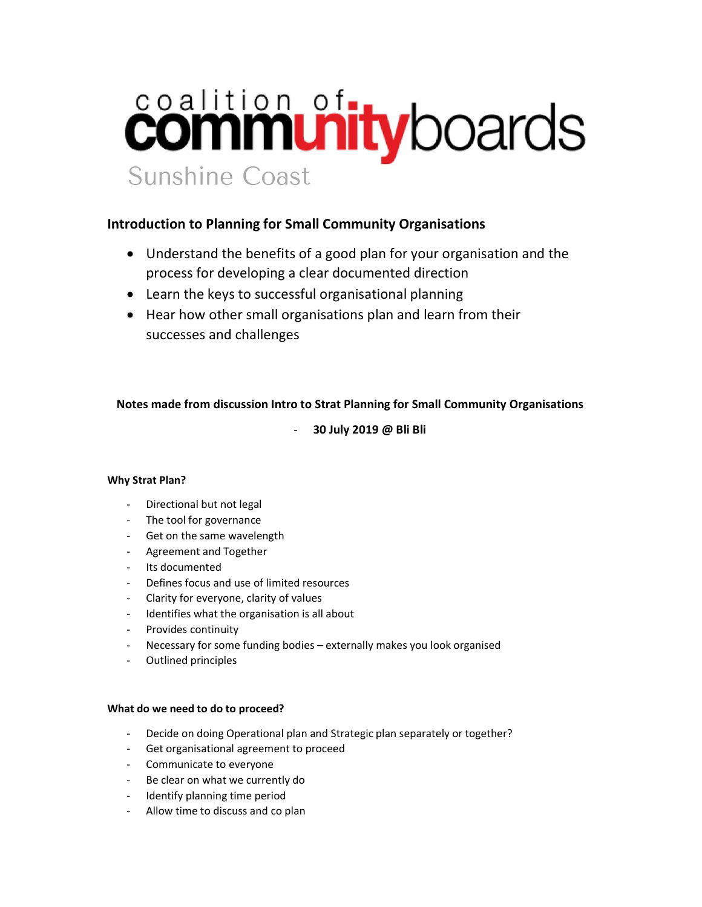# coalition of tyboards Sunshine Coast

# Introduction to Planning for Small Community Organisations

- Understand the benefits of a good plan for your organisation and the process for developing a clear documented direction
- Learn the keys to successful organisational planning
- Hear how other small organisations plan and learn from their successes and challenges

# Notes made from discussion Intro to Strat Planning for Small Community Organisations

- 30 July 2019 @ Bli Bli

## Why Strat Plan?

- Directional but not legal
- The tool for governance
- Get on the same wavelength
- Agreement and Together
- Its documented
- Defines focus and use of limited resources
- Clarity for everyone, clarity of values
- Identifies what the organisation is all about
- Provides continuity
- Necessary for some funding bodies externally makes you look organised
- Outlined principles

## What do we need to do to proceed?

- Decide on doing Operational plan and Strategic plan separately or together?
- Get organisational agreement to proceed
- Communicate to everyone
- Be clear on what we currently do
- Identify planning time period
- Allow time to discuss and co plan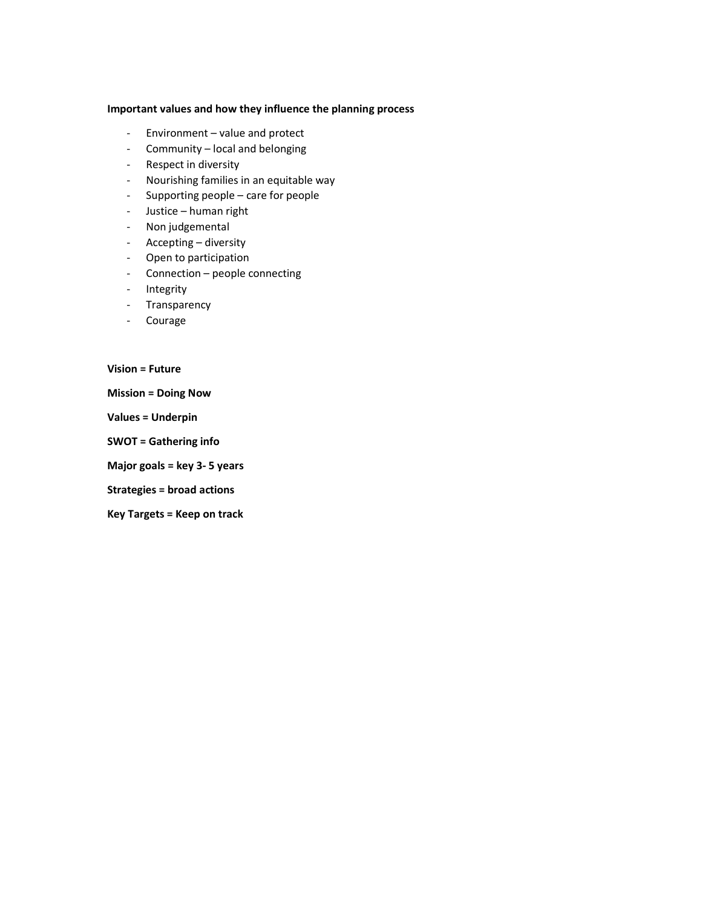#### Important values and how they influence the planning process

- Environment value and protect
- Community local and belonging
- Respect in diversity
- Nourishing families in an equitable way
- Supporting people care for people
- Justice human right
- Non judgemental
- Accepting diversity
- Open to participation
- Connection people connecting
- Integrity
- Transparency
- Courage

Vision = Future

Mission = Doing Now

Values = Underpin

SWOT = Gathering info

Major goals = key 3- 5 years

Strategies = broad actions

Key Targets = Keep on track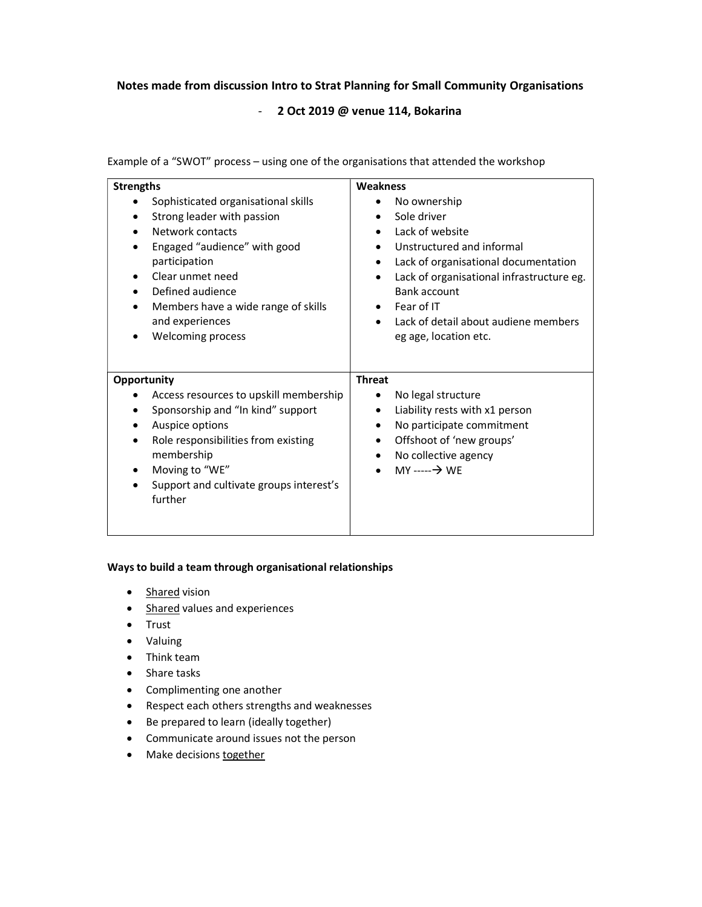## Notes made from discussion Intro to Strat Planning for Small Community Organisations

## - 2 Oct 2019 @ venue 114, Bokarina

Example of a "SWOT" process – using one of the organisations that attended the workshop

| <b>Strengths</b>                                                                                                                                                                                                                                                                            | <b>Weakness</b>                                                                                                                                                                                                                                                 |
|---------------------------------------------------------------------------------------------------------------------------------------------------------------------------------------------------------------------------------------------------------------------------------------------|-----------------------------------------------------------------------------------------------------------------------------------------------------------------------------------------------------------------------------------------------------------------|
| Sophisticated organisational skills<br>Strong leader with passion<br>٠<br>Network contacts<br>Engaged "audience" with good<br>participation<br>Clear unmet need<br>Defined audience<br>٠<br>Members have a wide range of skills<br>$\bullet$<br>and experiences<br><b>Welcoming process</b> | No ownership<br>Sole driver<br>Lack of website<br>Unstructured and informal<br>Lack of organisational documentation<br>Lack of organisational infrastructure eg.<br>Bank account<br>Fear of IT<br>Lack of detail about audiene members<br>eg age, location etc. |
| Opportunity<br>Access resources to upskill membership<br>Sponsorship and "In kind" support<br>Auspice options<br>٠<br>Role responsibilities from existing<br>$\bullet$<br>membership<br>Moving to "WE"<br>٠<br>Support and cultivate groups interest's<br>further                           | <b>Threat</b><br>No legal structure<br>Liability rests with x1 person<br>٠<br>No participate commitment<br>Offshoot of 'new groups'<br>No collective agency<br>MY -----→ WE                                                                                     |

#### Ways to build a team through organisational relationships

- Shared vision
- Shared values and experiences
- Trust
- Valuing
- Think team
- Share tasks
- Complimenting one another
- Respect each others strengths and weaknesses
- Be prepared to learn (ideally together)
- Communicate around issues not the person
- Make decisions together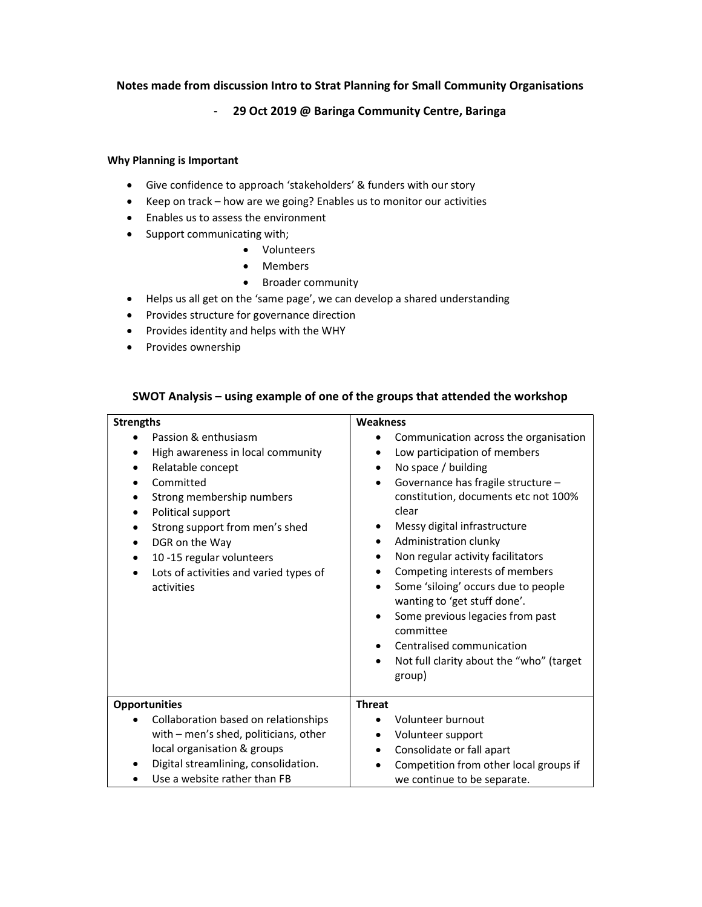# Notes made from discussion Intro to Strat Planning for Small Community Organisations

## - 29 Oct 2019 @ Baringa Community Centre, Baringa

#### Why Planning is Important

- Give confidence to approach 'stakeholders' & funders with our story
- Keep on track how are we going? Enables us to monitor our activities
- Enables us to assess the environment
- Support communicating with;
	- Volunteers
	- Members
	- Broader community
- Helps us all get on the 'same page', we can develop a shared understanding
- Provides structure for governance direction
- Provides identity and helps with the WHY
- Provides ownership

#### SWOT Analysis – using example of one of the groups that attended the workshop

| Weakness<br><b>Strengths</b>                                                                                                                                                                                                                                                           |                                                                                                                                                                                                                                                                                                                                                                                                                                                                                                                                                                                      |
|----------------------------------------------------------------------------------------------------------------------------------------------------------------------------------------------------------------------------------------------------------------------------------------|--------------------------------------------------------------------------------------------------------------------------------------------------------------------------------------------------------------------------------------------------------------------------------------------------------------------------------------------------------------------------------------------------------------------------------------------------------------------------------------------------------------------------------------------------------------------------------------|
| Passion & enthusiasm<br>High awareness in local community<br>Relatable concept<br>Committed<br>Strong membership numbers<br>Political support<br>Strong support from men's shed<br>DGR on the Way<br>10 -15 regular volunteers<br>Lots of activities and varied types of<br>activities | Communication across the organisation<br>Low participation of members<br>No space / building<br>٠<br>Governance has fragile structure -<br>constitution, documents etc not 100%<br>clear<br>Messy digital infrastructure<br>$\bullet$<br>Administration clunky<br>٠<br>Non regular activity facilitators<br>٠<br>Competing interests of members<br>Some 'siloing' occurs due to people<br>wanting to 'get stuff done'.<br>Some previous legacies from past<br>committee<br>Centralised communication<br>$\bullet$<br>Not full clarity about the "who" (target<br>$\bullet$<br>group) |
| <b>Opportunities</b>                                                                                                                                                                                                                                                                   | <b>Threat</b>                                                                                                                                                                                                                                                                                                                                                                                                                                                                                                                                                                        |
| Collaboration based on relationships<br>with - men's shed, politicians, other<br>local organisation & groups<br>Digital streamlining, consolidation.<br>Use a website rather than FB                                                                                                   | Volunteer burnout<br>Volunteer support<br>٠<br>Consolidate or fall apart<br>$\bullet$<br>Competition from other local groups if<br>we continue to be separate.                                                                                                                                                                                                                                                                                                                                                                                                                       |